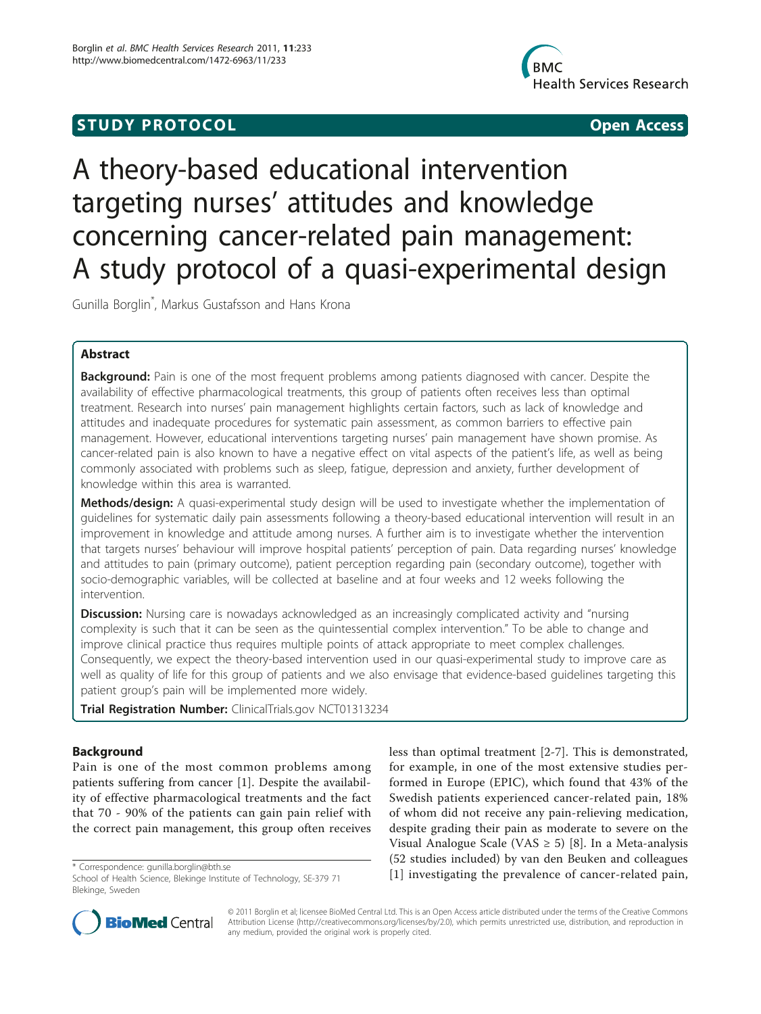# **STUDY PROTOCOL CONSUMING ACCESS**



# A theory-based educational intervention targeting nurses' attitudes and knowledge concerning cancer-related pain management: A study protocol of a quasi-experimental design

Gunilla Borglin\* , Markus Gustafsson and Hans Krona

# Abstract

Background: Pain is one of the most frequent problems among patients diagnosed with cancer. Despite the availability of effective pharmacological treatments, this group of patients often receives less than optimal treatment. Research into nurses' pain management highlights certain factors, such as lack of knowledge and attitudes and inadequate procedures for systematic pain assessment, as common barriers to effective pain management. However, educational interventions targeting nurses' pain management have shown promise. As cancer-related pain is also known to have a negative effect on vital aspects of the patient's life, as well as being commonly associated with problems such as sleep, fatigue, depression and anxiety, further development of knowledge within this area is warranted.

Methods/design: A quasi-experimental study design will be used to investigate whether the implementation of guidelines for systematic daily pain assessments following a theory-based educational intervention will result in an improvement in knowledge and attitude among nurses. A further aim is to investigate whether the intervention that targets nurses' behaviour will improve hospital patients' perception of pain. Data regarding nurses' knowledge and attitudes to pain (primary outcome), patient perception regarding pain (secondary outcome), together with socio-demographic variables, will be collected at baseline and at four weeks and 12 weeks following the intervention.

**Discussion:** Nursing care is nowadays acknowledged as an increasingly complicated activity and "nursing complexity is such that it can be seen as the quintessential complex intervention." To be able to change and improve clinical practice thus requires multiple points of attack appropriate to meet complex challenges. Consequently, we expect the theory-based intervention used in our quasi-experimental study to improve care as well as quality of life for this group of patients and we also envisage that evidence-based guidelines targeting this patient group's pain will be implemented more widely.

Trial Registration Number: ClinicalTrials.gov [NCT01313234](http://www.clinicaltrials.gov/ct2/show/NCT01313234)

# Background

Pain is one of the most common problems among patients suffering from cancer [[1\]](#page-5-0). Despite the availability of effective pharmacological treatments and the fact that 70 - 90% of the patients can gain pain relief with the correct pain management, this group often receives

less than optimal treatment [\[2](#page-6-0)-[7\]](#page-6-0). This is demonstrated, for example, in one of the most extensive studies performed in Europe (EPIC), which found that 43% of the Swedish patients experienced cancer-related pain, 18% of whom did not receive any pain-relieving medication, despite grading their pain as moderate to severe on the Visual Analogue Scale (VAS  $\geq$  5) [[8\]](#page-6-0). In a Meta-analysis (52 studies included) by van den Beuken and colleagues \* Correspondence: gunilla.borglin@bth.se<br>School of Health Science Blekinge Institute of Technology SE-379 7[1](#page-5-0) [1] investigating the prevalence of cancer-related pain,



© 2011 Borglin et al; licensee BioMed Central Ltd. This is an Open Access article distributed under the terms of the Creative Commons Attribution License [\(http://creativecommons.org/licenses/by/2.0](http://creativecommons.org/licenses/by/2.0)), which permits unrestricted use, distribution, and reproduction in any medium, provided the original work is properly cited.

School of Health Science, Blekinge Institute of Technology, SE-379 71 Blekinge, Sweden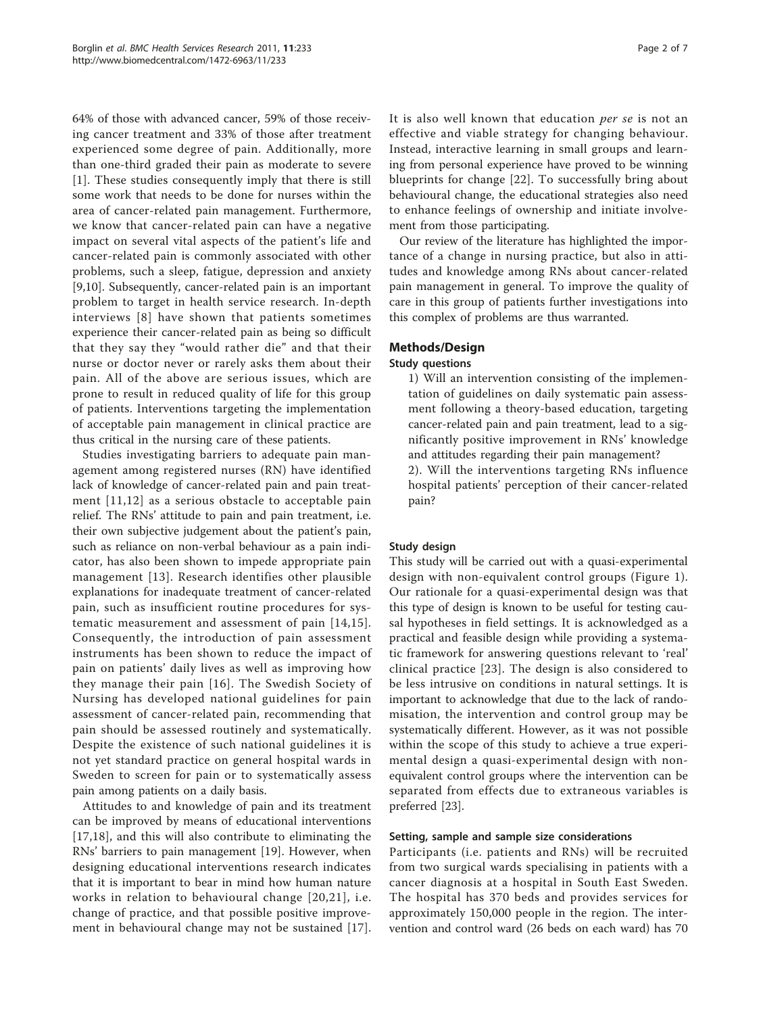64% of those with advanced cancer, 59% of those receiving cancer treatment and 33% of those after treatment experienced some degree of pain. Additionally, more than one-third graded their pain as moderate to severe [[1](#page-5-0)]. These studies consequently imply that there is still some work that needs to be done for nurses within the area of cancer-related pain management. Furthermore, we know that cancer-related pain can have a negative impact on several vital aspects of the patient's life and cancer-related pain is commonly associated with other problems, such a sleep, fatigue, depression and anxiety [[9,10\]](#page-6-0). Subsequently, cancer-related pain is an important problem to target in health service research. In-depth interviews [[8\]](#page-6-0) have shown that patients sometimes experience their cancer-related pain as being so difficult that they say they "would rather die" and that their nurse or doctor never or rarely asks them about their pain. All of the above are serious issues, which are prone to result in reduced quality of life for this group of patients. Interventions targeting the implementation of acceptable pain management in clinical practice are thus critical in the nursing care of these patients.

Studies investigating barriers to adequate pain management among registered nurses (RN) have identified lack of knowledge of cancer-related pain and pain treatment [[11,12](#page-6-0)] as a serious obstacle to acceptable pain relief. The RNs' attitude to pain and pain treatment, i.e. their own subjective judgement about the patient's pain, such as reliance on non-verbal behaviour as a pain indicator, has also been shown to impede appropriate pain management [\[13\]](#page-6-0). Research identifies other plausible explanations for inadequate treatment of cancer-related pain, such as insufficient routine procedures for systematic measurement and assessment of pain [[14](#page-6-0),[15\]](#page-6-0). Consequently, the introduction of pain assessment instruments has been shown to reduce the impact of pain on patients' daily lives as well as improving how they manage their pain [[16](#page-6-0)]. The Swedish Society of Nursing has developed national guidelines for pain assessment of cancer-related pain, recommending that pain should be assessed routinely and systematically. Despite the existence of such national guidelines it is not yet standard practice on general hospital wards in Sweden to screen for pain or to systematically assess pain among patients on a daily basis.

Attitudes to and knowledge of pain and its treatment can be improved by means of educational interventions [[17,18](#page-6-0)], and this will also contribute to eliminating the RNs' barriers to pain management [\[19](#page-6-0)]. However, when designing educational interventions research indicates that it is important to bear in mind how human nature works in relation to behavioural change [[20](#page-6-0),[21](#page-6-0)], i.e. change of practice, and that possible positive improvement in behavioural change may not be sustained [[17](#page-6-0)]. It is also well known that education per se is not an effective and viable strategy for changing behaviour. Instead, interactive learning in small groups and learning from personal experience have proved to be winning blueprints for change [\[22](#page-6-0)]. To successfully bring about behavioural change, the educational strategies also need to enhance feelings of ownership and initiate involvement from those participating.

Our review of the literature has highlighted the importance of a change in nursing practice, but also in attitudes and knowledge among RNs about cancer-related pain management in general. To improve the quality of care in this group of patients further investigations into this complex of problems are thus warranted.

# Methods/Design

# Study questions

1) Will an intervention consisting of the implementation of guidelines on daily systematic pain assessment following a theory-based education, targeting cancer-related pain and pain treatment, lead to a significantly positive improvement in RNs' knowledge and attitudes regarding their pain management? 2). Will the interventions targeting RNs influence

hospital patients' perception of their cancer-related pain?

# Study design

This study will be carried out with a quasi-experimental design with non-equivalent control groups (Figure [1\)](#page-2-0). Our rationale for a quasi-experimental design was that this type of design is known to be useful for testing causal hypotheses in field settings. It is acknowledged as a practical and feasible design while providing a systematic framework for answering questions relevant to 'real' clinical practice [\[23\]](#page-6-0). The design is also considered to be less intrusive on conditions in natural settings. It is important to acknowledge that due to the lack of randomisation, the intervention and control group may be systematically different. However, as it was not possible within the scope of this study to achieve a true experimental design a quasi-experimental design with nonequivalent control groups where the intervention can be separated from effects due to extraneous variables is preferred [\[23](#page-6-0)].

# Setting, sample and sample size considerations

Participants (i.e. patients and RNs) will be recruited from two surgical wards specialising in patients with a cancer diagnosis at a hospital in South East Sweden. The hospital has 370 beds and provides services for approximately 150,000 people in the region. The intervention and control ward (26 beds on each ward) has 70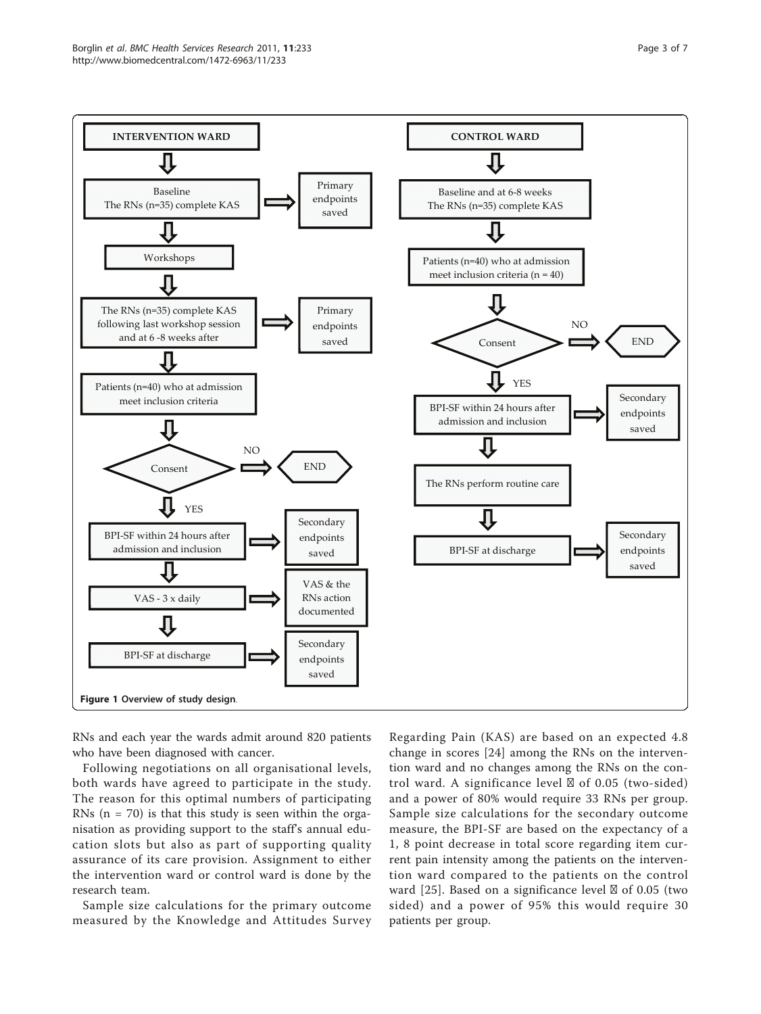<span id="page-2-0"></span>

RNs and each year the wards admit around 820 patients who have been diagnosed with cancer.

Following negotiations on all organisational levels, both wards have agreed to participate in the study. The reason for this optimal numbers of participating RNs  $(n = 70)$  is that this study is seen within the organisation as providing support to the staff's annual education slots but also as part of supporting quality assurance of its care provision. Assignment to either the intervention ward or control ward is done by the research team.

Sample size calculations for the primary outcome measured by the Knowledge and Attitudes Survey Regarding Pain (KAS) are based on an expected 4.8 change in scores [\[24](#page-6-0)] among the RNs on the intervention ward and no changes among the RNs on the control ward. A significance level  $\boxtimes$  of 0.05 (two-sided) and a power of 80% would require 33 RNs per group. Sample size calculations for the secondary outcome measure, the BPI-SF are based on the expectancy of a 1, 8 point decrease in total score regarding item current pain intensity among the patients on the intervention ward compared to the patients on the control ward [\[25\]](#page-6-0). Based on a significance level  $\boxtimes$  of 0.05 (two sided) and a power of 95% this would require 30 patients per group.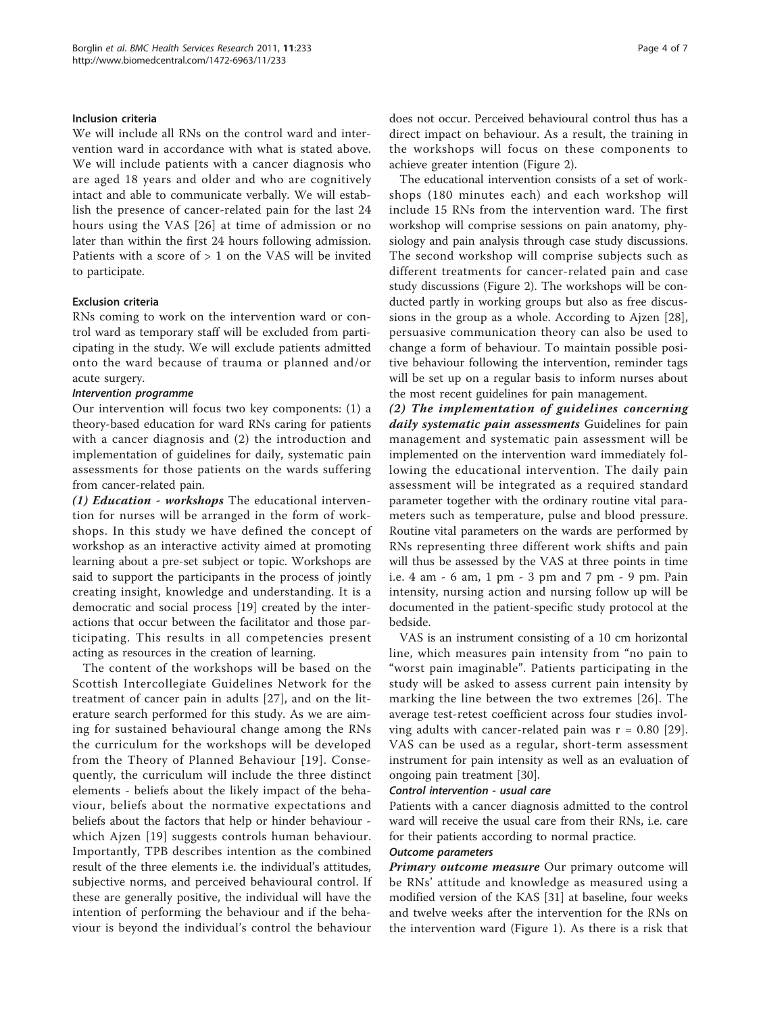#### Inclusion criteria

We will include all RNs on the control ward and intervention ward in accordance with what is stated above. We will include patients with a cancer diagnosis who are aged 18 years and older and who are cognitively intact and able to communicate verbally. We will establish the presence of cancer-related pain for the last 24 hours using the VAS [[26\]](#page-6-0) at time of admission or no later than within the first 24 hours following admission. Patients with a score of > 1 on the VAS will be invited to participate.

# Exclusion criteria

RNs coming to work on the intervention ward or control ward as temporary staff will be excluded from participating in the study. We will exclude patients admitted onto the ward because of trauma or planned and/or acute surgery.

#### Intervention programme

Our intervention will focus two key components: (1) a theory-based education for ward RNs caring for patients with a cancer diagnosis and (2) the introduction and implementation of guidelines for daily, systematic pain assessments for those patients on the wards suffering from cancer-related pain.

(1) **Education - workshops** The educational intervention for nurses will be arranged in the form of workshops. In this study we have defined the concept of workshop as an interactive activity aimed at promoting learning about a pre-set subject or topic. Workshops are said to support the participants in the process of jointly creating insight, knowledge and understanding. It is a democratic and social process [\[19](#page-6-0)] created by the interactions that occur between the facilitator and those participating. This results in all competencies present acting as resources in the creation of learning.

The content of the workshops will be based on the Scottish Intercollegiate Guidelines Network for the treatment of cancer pain in adults [\[27](#page-6-0)], and on the literature search performed for this study. As we are aiming for sustained behavioural change among the RNs the curriculum for the workshops will be developed from the Theory of Planned Behaviour [[19\]](#page-6-0). Consequently, the curriculum will include the three distinct elements - beliefs about the likely impact of the behaviour, beliefs about the normative expectations and beliefs about the factors that help or hinder behaviour which Ajzen [[19\]](#page-6-0) suggests controls human behaviour. Importantly, TPB describes intention as the combined result of the three elements i.e. the individual's attitudes, subjective norms, and perceived behavioural control. If these are generally positive, the individual will have the intention of performing the behaviour and if the behaviour is beyond the individual's control the behaviour does not occur. Perceived behavioural control thus has a direct impact on behaviour. As a result, the training in the workshops will focus on these components to achieve greater intention (Figure [2](#page-4-0)).

The educational intervention consists of a set of workshops (180 minutes each) and each workshop will include 15 RNs from the intervention ward. The first workshop will comprise sessions on pain anatomy, physiology and pain analysis through case study discussions. The second workshop will comprise subjects such as different treatments for cancer-related pain and case study discussions (Figure [2](#page-4-0)). The workshops will be conducted partly in working groups but also as free discussions in the group as a whole. According to Ajzen [\[28](#page-6-0)], persuasive communication theory can also be used to change a form of behaviour. To maintain possible positive behaviour following the intervention, reminder tags will be set up on a regular basis to inform nurses about the most recent guidelines for pain management.

(2) The implementation of guidelines concerning daily systematic pain assessments Guidelines for pain management and systematic pain assessment will be implemented on the intervention ward immediately following the educational intervention. The daily pain assessment will be integrated as a required standard parameter together with the ordinary routine vital parameters such as temperature, pulse and blood pressure. Routine vital parameters on the wards are performed by RNs representing three different work shifts and pain will thus be assessed by the VAS at three points in time i.e. 4 am - 6 am, 1 pm - 3 pm and 7 pm - 9 pm. Pain intensity, nursing action and nursing follow up will be documented in the patient-specific study protocol at the bedside.

VAS is an instrument consisting of a 10 cm horizontal line, which measures pain intensity from "no pain to "worst pain imaginable". Patients participating in the study will be asked to assess current pain intensity by marking the line between the two extremes [[26](#page-6-0)]. The average test-retest coefficient across four studies involving adults with cancer-related pain was  $r = 0.80$  [[29](#page-6-0)]. VAS can be used as a regular, short-term assessment instrument for pain intensity as well as an evaluation of ongoing pain treatment [[30](#page-6-0)].

# Control intervention - usual care

Patients with a cancer diagnosis admitted to the control ward will receive the usual care from their RNs, i.e. care for their patients according to normal practice.

# Outcome parameters

Primary outcome measure Our primary outcome will be RNs' attitude and knowledge as measured using a modified version of the KAS [[31\]](#page-6-0) at baseline, four weeks and twelve weeks after the intervention for the RNs on the intervention ward (Figure [1\)](#page-2-0). As there is a risk that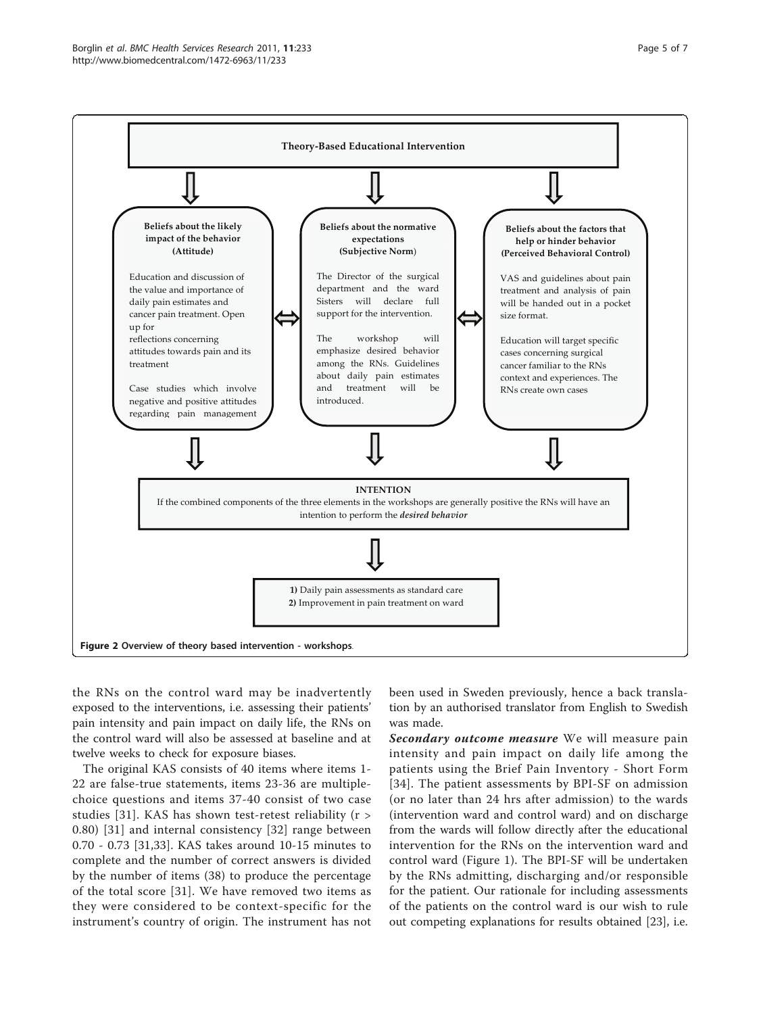<span id="page-4-0"></span>

the RNs on the control ward may be inadvertently exposed to the interventions, i.e. assessing their patients' pain intensity and pain impact on daily life, the RNs on the control ward will also be assessed at baseline and at twelve weeks to check for exposure biases.

The original KAS consists of 40 items where items 1- 22 are false-true statements, items 23-36 are multiplechoice questions and items 37-40 consist of two case studies [\[31\]](#page-6-0). KAS has shown test-retest reliability (r > 0.80) [\[31\]](#page-6-0) and internal consistency [[32](#page-6-0)] range between 0.70 - 0.73 [[31,33](#page-6-0)]. KAS takes around 10-15 minutes to complete and the number of correct answers is divided by the number of items (38) to produce the percentage of the total score [[31\]](#page-6-0). We have removed two items as they were considered to be context-specific for the instrument's country of origin. The instrument has not

been used in Sweden previously, hence a back translation by an authorised translator from English to Swedish was made.

Secondary outcome measure We will measure pain intensity and pain impact on daily life among the patients using the Brief Pain Inventory - Short Form [[34](#page-6-0)]. The patient assessments by BPI-SF on admission (or no later than 24 hrs after admission) to the wards (intervention ward and control ward) and on discharge from the wards will follow directly after the educational intervention for the RNs on the intervention ward and control ward (Figure [1\)](#page-2-0). The BPI-SF will be undertaken by the RNs admitting, discharging and/or responsible for the patient. Our rationale for including assessments of the patients on the control ward is our wish to rule out competing explanations for results obtained [[23\]](#page-6-0), i.e.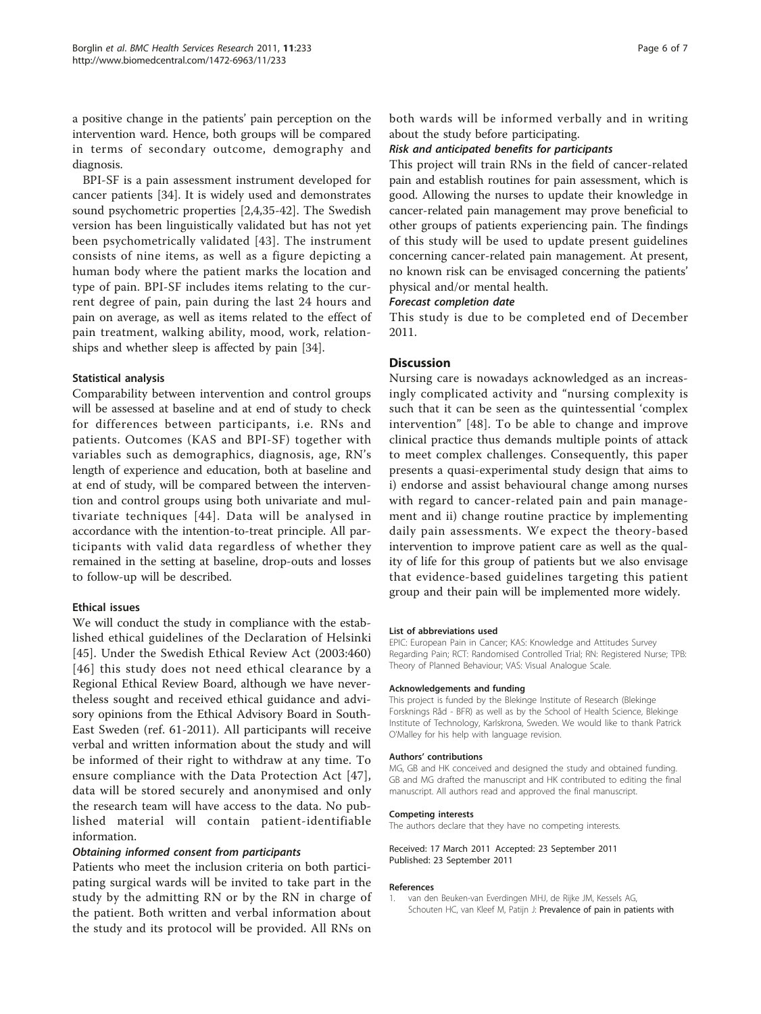<span id="page-5-0"></span>a positive change in the patients' pain perception on the intervention ward. Hence, both groups will be compared in terms of secondary outcome, demography and diagnosis.

BPI-SF is a pain assessment instrument developed for cancer patients [\[34](#page-6-0)]. It is widely used and demonstrates sound psychometric properties [\[2,4](#page-6-0),[35](#page-6-0)-[42\]](#page-6-0). The Swedish version has been linguistically validated but has not yet been psychometrically validated [[43](#page-6-0)]. The instrument consists of nine items, as well as a figure depicting a human body where the patient marks the location and type of pain. BPI-SF includes items relating to the current degree of pain, pain during the last 24 hours and pain on average, as well as items related to the effect of pain treatment, walking ability, mood, work, relationships and whether sleep is affected by pain [\[34](#page-6-0)].

# Statistical analysis

Comparability between intervention and control groups will be assessed at baseline and at end of study to check for differences between participants, i.e. RNs and patients. Outcomes (KAS and BPI-SF) together with variables such as demographics, diagnosis, age, RN's length of experience and education, both at baseline and at end of study, will be compared between the intervention and control groups using both univariate and multivariate techniques [[44](#page-6-0)]. Data will be analysed in accordance with the intention-to-treat principle. All participants with valid data regardless of whether they remained in the setting at baseline, drop-outs and losses to follow-up will be described.

#### Ethical issues

We will conduct the study in compliance with the established ethical guidelines of the Declaration of Helsinki [[45](#page-6-0)]. Under the Swedish Ethical Review Act (2003:460) [[46\]](#page-6-0) this study does not need ethical clearance by a Regional Ethical Review Board, although we have nevertheless sought and received ethical guidance and advisory opinions from the Ethical Advisory Board in South-East Sweden (ref. 61-2011). All participants will receive verbal and written information about the study and will be informed of their right to withdraw at any time. To ensure compliance with the Data Protection Act [[47\]](#page-6-0), data will be stored securely and anonymised and only the research team will have access to the data. No published material will contain patient-identifiable information.

#### Obtaining informed consent from participants

Patients who meet the inclusion criteria on both participating surgical wards will be invited to take part in the study by the admitting RN or by the RN in charge of the patient. Both written and verbal information about the study and its protocol will be provided. All RNs on

both wards will be informed verbally and in writing about the study before participating.

# Risk and anticipated benefits for participants

This project will train RNs in the field of cancer-related pain and establish routines for pain assessment, which is good. Allowing the nurses to update their knowledge in cancer-related pain management may prove beneficial to other groups of patients experiencing pain. The findings of this study will be used to update present guidelines concerning cancer-related pain management. At present, no known risk can be envisaged concerning the patients' physical and/or mental health.

#### Forecast completion date

This study is due to be completed end of December 2011.

# **Discussion**

Nursing care is nowadays acknowledged as an increasingly complicated activity and "nursing complexity is such that it can be seen as the quintessential 'complex intervention" [\[48\]](#page-6-0). To be able to change and improve clinical practice thus demands multiple points of attack to meet complex challenges. Consequently, this paper presents a quasi-experimental study design that aims to i) endorse and assist behavioural change among nurses with regard to cancer-related pain and pain management and ii) change routine practice by implementing daily pain assessments. We expect the theory-based intervention to improve patient care as well as the quality of life for this group of patients but we also envisage that evidence-based guidelines targeting this patient group and their pain will be implemented more widely.

#### List of abbreviations used

EPIC: European Pain in Cancer; KAS: Knowledge and Attitudes Survey Regarding Pain; RCT: Randomised Controlled Trial; RN: Registered Nurse; TPB: Theory of Planned Behaviour; VAS: Visual Analogue Scale.

#### Acknowledgements and funding

This project is funded by the Blekinge Institute of Research (Blekinge Forsknings Råd - BFR) as well as by the School of Health Science, Blekinge Institute of Technology, Karlskrona, Sweden. We would like to thank Patrick O'Malley for his help with language revision.

#### Authors' contributions

MG, GB and HK conceived and designed the study and obtained funding. GB and MG drafted the manuscript and HK contributed to editing the final manuscript. All authors read and approved the final manuscript.

#### Competing interests

The authors declare that they have no competing interests.

Received: 17 March 2011 Accepted: 23 September 2011 Published: 23 September 2011

#### References

1. van den Beuken-van Everdingen MHJ, de Rijke JM, Kessels AG, Schouten HC, van Kleef M, Patijn J: [Prevalence of pain in patients with](http://www.ncbi.nlm.nih.gov/pubmed/17355955?dopt=Abstract)